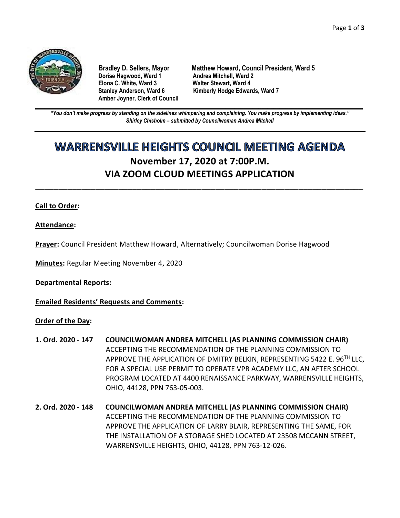

**Dorise Hagwood, Ward 1 Elona C. White, Ward 3 Walter Stewart, Ward 4 Amber Joyner, Clerk of Council**

**Bradley D. Sellers, Mayor Matthew Howard, Council President, Ward 5** Stanley Anderson, Ward 6 Kimberly Hodge Edwards, Ward 7

**\_\_\_\_\_\_\_\_\_\_\_\_\_\_\_\_\_\_\_\_\_\_\_\_\_\_\_\_\_\_\_\_\_\_\_\_\_\_\_\_\_\_\_\_\_\_\_\_\_\_\_\_\_\_\_\_\_\_\_\_\_\_\_\_\_\_\_\_\_\_\_\_\_\_\_\_\_\_\_\_\_\_\_\_\_\_\_\_\_\_\_\_\_\_\_\_\_\_\_\_\_\_\_\_\_\_\_\_\_\_** *"You don't make progress by standing on the sidelines whimpering and complaining. You make progress by implementing ideas." Shirley Chisholm – submitted by Councilwoman Andrea Mitchell*

# **WARRENSVILLE HEIGHTS COUNCIL MEETING AGENDA November 17, 2020 at 7:00P.M. VIA ZOOM CLOUD MEETINGS APPLICATION**

**\_\_\_\_\_\_\_\_\_\_\_\_\_\_\_\_\_\_\_\_\_\_\_\_\_\_\_\_\_\_\_\_\_\_\_\_\_\_\_\_\_\_\_\_\_\_\_\_\_\_\_\_\_\_\_\_\_\_\_\_\_\_\_\_\_\_\_\_\_\_\_**

## **Call to Order:**

**Attendance:**

**Prayer:** Council President Matthew Howard, Alternatively; Councilwoman Dorise Hagwood

**Minutes:** Regular Meeting November 4, 2020

**Departmental Reports:**

**Emailed Residents' Requests and Comments:**

#### **Order of the Day:**

- **1. Ord. 2020 - 147 COUNCILWOMAN ANDREA MITCHELL (AS PLANNING COMMISSION CHAIR)** ACCEPTING THE RECOMMENDATION OF THE PLANNING COMMISSION TO APPROVE THE APPLICATION OF DMITRY BELKIN, REPRESENTING 5422 E. 96<sup>TH</sup> LLC, FOR A SPECIAL USE PERMIT TO OPERATE VPR ACADEMY LLC, AN AFTER SCHOOL PROGRAM LOCATED AT 4400 RENAISSANCE PARKWAY, WARRENSVILLE HEIGHTS, OHIO, 44128, PPN 763-05-003.
- **2. Ord. 2020 - 148 COUNCILWOMAN ANDREA MITCHELL (AS PLANNING COMMISSION CHAIR)** ACCEPTING THE RECOMMENDATION OF THE PLANNING COMMISSION TO APPROVE THE APPLICATION OF LARRY BLAIR, REPRESENTING THE SAME, FOR THE INSTALLATION OF A STORAGE SHED LOCATED AT 23508 MCCANN STREET, WARRENSVILLE HEIGHTS, OHIO, 44128, PPN 763-12-026.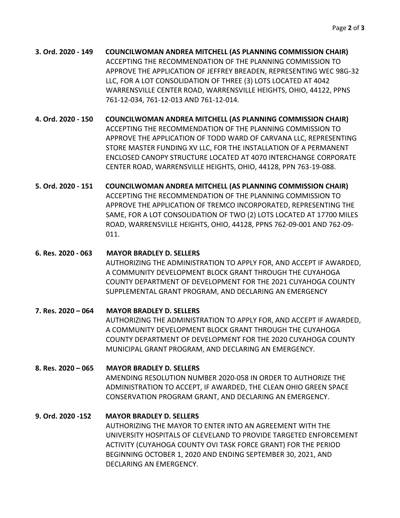**3. Ord. 2020 - 149 COUNCILWOMAN ANDREA MITCHELL (AS PLANNING COMMISSION CHAIR)** ACCEPTING THE RECOMMENDATION OF THE PLANNING COMMISSION TO APPROVE THE APPLICATION OF JEFFREY BREADEN, REPRESENTING WEC 98G-32 LLC, FOR A LOT CONSOLIDATION OF THREE (3) LOTS LOCATED AT 4042 WARRENSVILLE CENTER ROAD, WARRENSVILLE HEIGHTS, OHIO, 44122, PPNS 761-12-034, 761-12-013 AND 761-12-014.

**4. Ord. 2020 - 150 COUNCILWOMAN ANDREA MITCHELL (AS PLANNING COMMISSION CHAIR)** ACCEPTING THE RECOMMENDATION OF THE PLANNING COMMISSION TO APPROVE THE APPLICATION OF TODD WARD OF CARVANA LLC, REPRESENTING STORE MASTER FUNDING XV LLC, FOR THE INSTALLATION OF A PERMANENT ENCLOSED CANOPY STRUCTURE LOCATED AT 4070 INTERCHANGE CORPORATE CENTER ROAD, WARRENSVILLE HEIGHTS, OHIO, 44128, PPN 763-19-088.

**5. Ord. 2020 - 151 COUNCILWOMAN ANDREA MITCHELL (AS PLANNING COMMISSION CHAIR)** ACCEPTING THE RECOMMENDATION OF THE PLANNING COMMISSION TO APPROVE THE APPLICATION OF TREMCO INCORPORATED, REPRESENTING THE SAME, FOR A LOT CONSOLIDATION OF TWO (2) LOTS LOCATED AT 17700 MILES ROAD, WARRENSVILLE HEIGHTS, OHIO, 44128, PPNS 762-09-001 AND 762-09- 011.

**6. Res. 2020 - 063 MAYOR BRADLEY D. SELLERS**

AUTHORIZING THE ADMINISTRATION TO APPLY FOR, AND ACCEPT IF AWARDED, A COMMUNITY DEVELOPMENT BLOCK GRANT THROUGH THE CUYAHOGA COUNTY DEPARTMENT OF DEVELOPMENT FOR THE 2021 CUYAHOGA COUNTY SUPPLEMENTAL GRANT PROGRAM, AND DECLARING AN EMERGENCY

**7. Res. 2020 – 064 MAYOR BRADLEY D. SELLERS** AUTHORIZING THE ADMINISTRATION TO APPLY FOR, AND ACCEPT IF AWARDED, A COMMUNITY DEVELOPMENT BLOCK GRANT THROUGH THE CUYAHOGA COUNTY DEPARTMENT OF DEVELOPMENT FOR THE 2020 CUYAHOGA COUNTY MUNICIPAL GRANT PROGRAM, AND DECLARING AN EMERGENCY.

**8. Res. 2020 – 065 MAYOR BRADLEY D. SELLERS** AMENDING RESOLUTION NUMBER 2020-058 IN ORDER TO AUTHORIZE THE ADMINISTRATION TO ACCEPT, IF AWARDED, THE CLEAN OHIO GREEN SPACE CONSERVATION PROGRAM GRANT, AND DECLARING AN EMERGENCY.

**9. Ord. 2020 -152 MAYOR BRADLEY D. SELLERS**

AUTHORIZING THE MAYOR TO ENTER INTO AN AGREEMENT WITH THE UNIVERSITY HOSPITALS OF CLEVELAND TO PROVIDE TARGETED ENFORCEMENT ACTIVITY (CUYAHOGA COUNTY OVI TASK FORCE GRANT) FOR THE PERIOD BEGINNING OCTOBER 1, 2020 AND ENDING SEPTEMBER 30, 2021, AND DECLARING AN EMERGENCY.